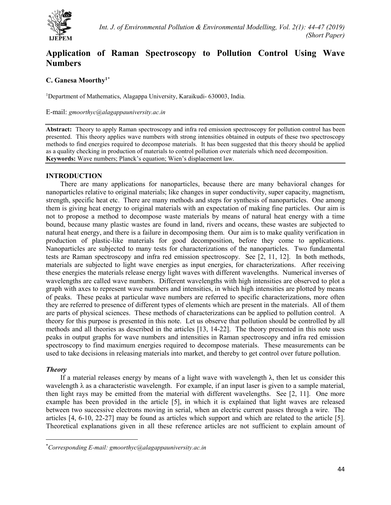

# **Application of Raman Spectroscopy to Pollution Control Using Wave Numbers**

## **C. Ganesa Moorthy1[\\*](#page-0-0)**

<sup>1</sup>Department of Mathematics, Alagappa University, Karaikudi- 630003, India.

E-mail: *[gmoorthyc@alagappauniversity.ac.in](mailto:gmoorthyc@alagappauniversity.ac.in)*

**Abstract:** Theory to apply Raman spectroscopy and infra red emission spectroscopy for pollution control has been presented. This theory applies wave numbers with strong intensities obtained in outputs of these two spectroscopy methods to find energies required to decompose materials. It has been suggested that this theory should be applied as a quality checking in production of materials to control pollution over materials which need decomposition. **Keywords:** Wave numbers; Planck's equation; Wien's displacement law.

#### **INTRODUCTION**

There are many applications for nanoparticles, because there are many behavioral changes for nanoparticles relative to original materials; like changes in super conductivity, super capacity, magnetism, strength, specific heat etc. There are many methods and steps for synthesis of nanoparticles. One among them is giving heat energy to original materials with an expectation of making fine particles. Our aim is not to propose a method to decompose waste materials by means of natural heat energy with a time bound, because many plastic wastes are found in land, rivers and oceans, these wastes are subjected to natural heat energy, and there is a failure in decomposing them. Our aim is to make quality verification in production of plastic-like materials for good decomposition, before they come to applications. Nanoparticles are subjected to many tests for characterizations of the nanoparticles. Two fundamental tests are Raman spectroscopy and infra red emission spectroscopy. See [2, 11, 12]. In both methods, materials are subjected to light wave energies as input energies, for characterizations. After receiving these energies the materials release energy light waves with different wavelengths. Numerical inverses of wavelengths are called wave numbers. Different wavelengths with high intensities are observed to plot a graph with axes to represent wave numbers and intensities, in which high intensities are plotted by means of peaks. These peaks at particular wave numbers are referred to specific characterizations, more often they are referred to presence of different types of elements which are present in the materials. All of them are parts of physical sciences. These methods of characterizations can be applied to pollution control. A theory for this purpose is presented in this note. Let us observe that pollution should be controlled by all methods and all theories as described in the articles [13, 14-22]. The theory presented in this note uses peaks in output graphs for wave numbers and intensities in Raman spectroscopy and infra red emission spectroscopy to find maximum energies required to decompose materials. These measurements can be used to take decisions in releasing materials into market, and thereby to get control over future pollution.

### *Theory*

If a material releases energy by means of a light wave with wavelength  $\lambda$ , then let us consider this wavelength  $\lambda$  as a characteristic wavelength. For example, if an input laser is given to a sample material, then light rays may be emitted from the material with different wavelengths. See [2, 11]. One more example has been provided in the article [5], in which it is explained that light waves are released between two successive electrons moving in serial, when an electric current passes through a wire. The articles [4, 6-10, 22-27] may be found as articles which support and which are related to the article [5]. Theoretical explanations given in all these reference articles are not sufficient to explain amount of

<span id="page-0-0"></span> <sup>\*</sup> *Corresponding E-mail: gmoorthyc@alagappauniversity.ac.in*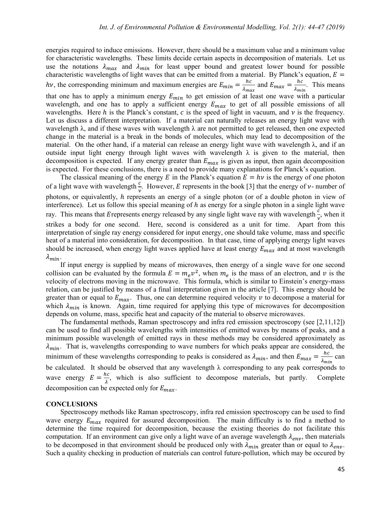energies required to induce emissions. However, there should be a maximum value and a minimum value for characteristic wavelengths. These limits decide certain aspects in decomposition of materials. Let us use the notations  $\lambda_{max}$  and  $\lambda_{min}$  for least upper bound and greatest lower bound for possible characteristic wavelengths of light waves that can be emitted from a material. By Planck's equation,  $E =$ hv, the corresponding minimum and maximum energies are  $E_{min} = \frac{hc}{\lambda_{max}}$  and  $E_{max} = \frac{hc}{\lambda_{min}}$ . This means that one has to apply a minimum energy  $E_{min}$  to get emission of at least one wave with a particular wavelength, and one has to apply a sufficient energy  $E_{max}$  to get of all possible emissions of all wavelengths. Here  $h$  is the Planck's constant,  $c$  is the speed of light in vacuum, and  $\nu$  is the frequency. Let us discuss a different interpretation. If a material can naturally releases an energy light wave with wavelength  $\lambda$ , and if these waves with wavelength  $\lambda$  are not permitted to get released, then one expected change in the material is a break in the bonds of molecules, which may lead to decomposition of the material. On the other hand, if a material can release an energy light wave with wavelength  $\lambda$ , and if an outside input light energy through light waves with wavelength  $\lambda$  is given to the material, then decomposition is expected. If any energy greater than  $E_{max}$  is given as input, then again decomposition is expected. For these conclusions, there is a need to provide many explanations for Planck's equation.

The classical meaning of the energy E in the Planck's equation  $E = hv$  is the energy of one photon of a light wave with wavelength  $\frac{c}{v}$ . However, E represents in the book [3] that the energy of v- number of photons, or equivalently, *h* represents an energy of a single photon (or of a double photon in view of interference). Let us follow this special meaning of  $h$  as energy for a single photon in a single light wave ray. This means that E represents energy released by any single light wave ray with wavelength  $\frac{c}{v}$ , when it strikes a body for one second. Here, second is considered as a unit for time. Apart from this interpretation of single ray energy considered for input energy, one should take volume, mass and specific heat of a material into consideration, for decomposition. In that case, time of applying energy light waves should be increased, when energy light waves applied have at least energy  $E_{max}$  and at most wavelength  $\lambda_{min}$ .

If input energy is supplied by means of microwaves, then energy of a single wave for one second collision can be evaluated by the formula  $E = m_e v^2$ , when  $m_e$  is the mass of an electron, and v is the velocity of electrons moving in the microwave. This formula, which is similar to Einstein's energy-mass relation, can be justified by means of a final interpretation given in the article [7]. This energy should be greater than or equal to  $E_{max}$ . Thus, one can determine required velocity v to decompose a material for which  $\lambda_{min}$  is known. Again, time required for applying this type of microwaves for decomposition depends on volume, mass, specific heat and capacity of the material to observe microwaves.

The fundamental methods, Raman spectroscopy and infra red emission spectroscopy (see [2,11,12]) can be used to find all possible wavelengths with intensities of emitted waves by means of peaks, and a minimum possible wavelength of emitted rays in these methods may be considered approximately as  $\lambda_{min}$ . That is, wavelengths corresponding to wave numbers for which peaks appear are considered, the minimum of these wavelengths corresponding to peaks is considered as  $\lambda_{min}$ , and then  $E_{max} = \frac{hc}{\lambda_{min}}$  can be calculated. It should be observed that any wavelength  $\lambda$  corresponding to any peak corresponds to wave energy  $E = \frac{hc}{\lambda}$ , which is also sufficient to decompose materials, but partly. Complete decomposition can be expected only for  $E_{max}$ .

#### **CONCLUSIONS**

Spectroscopy methods like Raman spectroscopy, infra red emission spectroscopy can be used to find wave energy  $E_{max}$  required for assured decomposition. The main difficulty is to find a method to determine the time required for decomposition, because the existing theories do not facilitate this computation. If an environment can give only a light wave of an average wavelength  $\lambda_{env}$ , then materials to be decomposed in that environment should be produced only with  $\lambda_{min}$  greater than or equal to  $\lambda_{env}$ . Such a quality checking in production of materials can control future-pollution, which may be occured by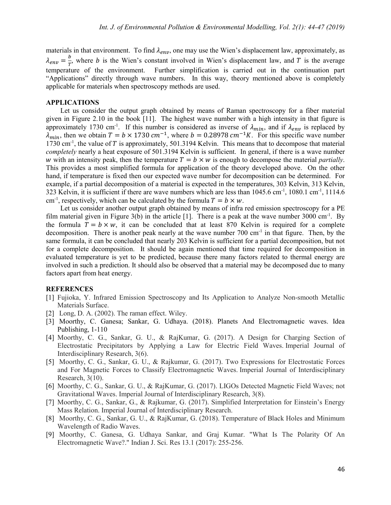materials in that environment. To find  $\lambda_{env}$ , one may use the Wien's displacement law, approximately, as  $\lambda_{env} = \frac{b}{T}$ , where b is the Wien's constant involved in Wien's displacement law, and T is the average temperature of the environment. Further simplification is carried out in the continuation part "Applications" directly through wave numbers. In this way, theory mentioned above is completely applicable for materials when spectroscopy methods are used.

### **APPLICATIONS**

Let us consider the output graph obtained by means of Raman spectroscopy for a fiber material given in Figure 2.10 in the book [11]. The highest wave number with a high intensity in that figure is approximately 1730 cm<sup>-1</sup>. If this number is considered as inverse of  $\lambda_{min}$ , and if  $\lambda_{env}$  is replaced by  $\lambda_{min}$ , then we obtain  $T = b \times 1730$  cm<sup>-1</sup>, where  $b = 0.28978$  cm<sup>-1</sup>K. For this specific wave number 1730 cm<sup>-1</sup>, the value of  $T$  is approximately, 501.3194 Kelvin. This means that to decompose that material *completely* nearly a heat exposure of 501.3194 Kelvin is sufficient. In general, if there is a wave number w with an intensity peak, then the temperature  $T = b \times w$  is enough to decompose the material *partially*. This provides a most simplified formula for application of the theory developed above. On the other hand, if temperature is fixed then our expected wave number for decomposition can be determined. For example, if a partial decomposition of a material is expected in the temperatures, 303 Kelvin, 313 Kelvin, 323 Kelvin, it is sufficient if there are wave numbers which are less than 1045.6 cm<sup>-1</sup>, 1080.1 cm<sup>-1</sup>, 1114.6 cm<sup>-1</sup>, respectively, which can be calculated by the formula  $T = b \times w$ .

Let us consider another output graph obtained by means of infra red emission spectroscopy for a PE film material given in Figure  $3(b)$  in the article [1]. There is a peak at the wave number  $3000 \text{ cm}^{-1}$ . By the formula  $T = b \times w$ , it can be concluded that at least 870 Kelvin is required for a complete decomposition. There is another peak nearly at the wave number  $700 \text{ cm}^{-1}$  in that figure. Then, by the same formula, it can be concluded that nearly 203 Kelvin is sufficient for a partial decomposition, but not for a complete decomposition. It should be again mentioned that time required for decomposition in evaluated temperature is yet to be predicted, because there many factors related to thermal energy are involved in such a prediction. It should also be observed that a material may be decomposed due to many factors apart from heat energy.

#### **REFERENCES**

- [1] Fujioka, Y. Infrared Emission Spectroscopy and Its Application to Analyze Non-smooth Metallic Materials Surface.
- [2] Long, D. A. (2002). The raman effect. Wiley.
- [3] Moorthy, C. Ganesa; Sankar, G. Udhaya. (2018). Planets And Electromagnetic waves. Idea Publishing, 1-110
- [4] Moorthy, C. G., Sankar, G. U., & RajKumar, G. (2017). A Design for Charging Section of Electrostatic Precipitators by Applying a Law for Electric Field Waves. Imperial Journal of Interdisciplinary Research, 3(6).
- [5] Moorthy, C. G., Sankar, G. U., & Rajkumar, G. (2017). Two Expressions for Electrostatic Forces and For Magnetic Forces to Classify Electromagnetic Waves. Imperial Journal of Interdisciplinary Research, 3(10).
- [6] Moorthy, C. G., Sankar, G. U., & RajKumar, G. (2017). LIGOs Detected Magnetic Field Waves; not Gravitational Waves. Imperial Journal of Interdisciplinary Research, 3(8).
- [7] Moorthy, C. G., Sankar, G., & Rajkumar, G. (2017). Simplified Interpretation for Einstein's Energy Mass Relation. Imperial Journal of Interdisciplinary Research.
- [8] Moorthy, C. G., Sankar, G. U., & RajKumar, G. (2018). Temperature of Black Holes and Minimum Wavelength of Radio Waves.
- [9] Moorthy, C. Ganesa, G. Udhaya Sankar, and Graj Kumar. "What Is The Polarity Of An Electromagnetic Wave?." Indian J. Sci. Res 13.1 (2017): 255-256.